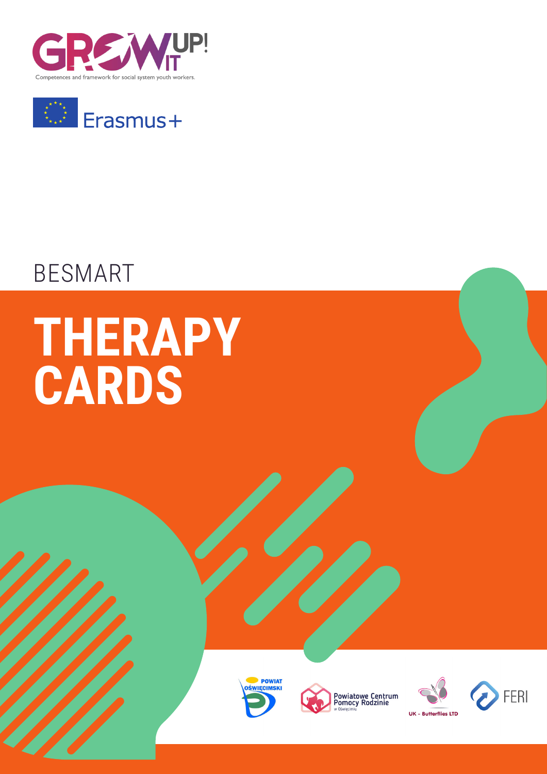



## BESMART

# **THERAPY CARDS**







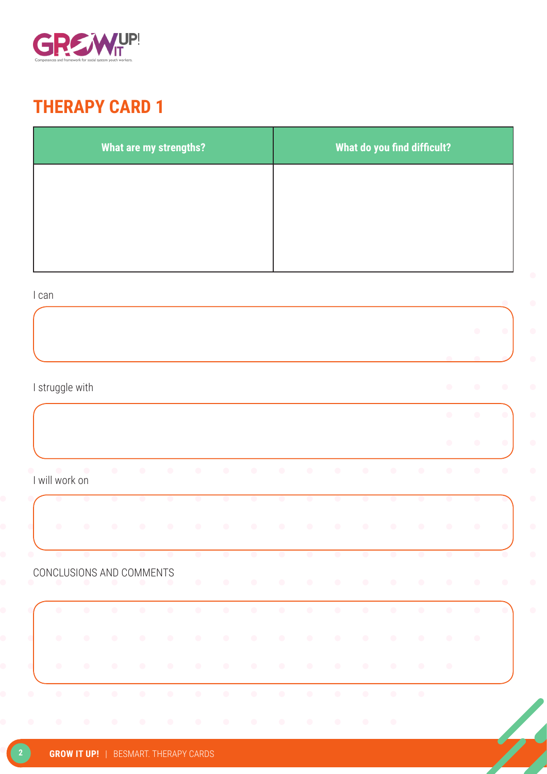

| What are my strengths? | What do you find difficult? |
|------------------------|-----------------------------|
|                        |                             |
|                        |                             |
|                        |                             |

#### I can

|           |                 |                          |           |                          |           |           |           |            |           |           |           |            |            |           |           | $\bullet$  | $\bullet$ |
|-----------|-----------------|--------------------------|-----------|--------------------------|-----------|-----------|-----------|------------|-----------|-----------|-----------|------------|------------|-----------|-----------|------------|-----------|
|           |                 |                          |           |                          |           |           |           |            |           |           |           |            |            |           |           |            |           |
|           | I struggle with |                          |           |                          |           |           |           |            |           |           |           |            |            |           | $\bullet$ | $\bullet$  | $\bullet$ |
|           |                 |                          |           |                          |           |           |           |            |           |           |           |            |            |           | $\bullet$ | $\bullet$  |           |
|           |                 |                          |           |                          |           |           |           |            |           |           |           |            |            |           | $\bullet$ |            | $\bullet$ |
|           | I will work on  | $\overline{\phantom{a}}$ | $\bullet$ | $\bullet$                | $\bullet$ | $\bullet$ | $\bullet$ | $\bullet$  | $\bullet$ | $\bullet$ | $\bullet$ | $\bullet$  | $\bullet$  | $\bullet$ | $\bullet$ | $\bullet$  | $\bullet$ |
|           | $\bullet$       | $\bullet$                | $\bullet$ | $\bullet$                | $\bullet$ | $\bullet$ | $\bullet$ | $\bullet$  | $\bullet$ | $\bullet$ | $\bullet$ | $\bullet$  | $\bullet$  | $\bullet$ | $\bullet$ | $\bullet$  |           |
|           | $\bullet$       | $\bullet$                | $\bullet$ | $\bullet$                | $\bullet$ | $\bullet$ | $\bullet$ | $\bullet$  | $\bullet$ | $\bullet$ | $\bullet$ | $\bullet$  | $\bullet$  | $\bullet$ | $\bullet$ | $\bullet$  | $\bullet$ |
|           | $\bullet$       | $\bullet$                | $\bullet$ | $\bullet$                | $\bullet$ | $\bullet$ | $\bullet$ | $\bullet$  | $\bullet$ | $\bullet$ | $\bullet$ | $\bullet$  | $\bullet$  | $\bullet$ | $\bullet$ | $\bullet$  |           |
|           |                 |                          |           | CONCLUSIONS AND COMMENTS | $\bullet$ | $\bullet$ | $\bullet$ | $\bullet$  | $\bullet$ | $\bullet$ | $\bullet$ | $\bullet$  | $\bullet$  | $\bullet$ | $\bullet$ | $\bullet$  | $\bullet$ |
|           | $\bullet$       | $\bullet$                | $\bullet$ | $\bullet$                | $\bullet$ | $\bullet$ | $\bullet$ | $\bigcirc$ | $\bullet$ | $\bullet$ | $\bullet$ | $\bigcirc$ | $\bigcirc$ | $\bullet$ | $\bullet$ | $\bigcirc$ |           |
|           | $\bullet$       | $\bullet$                | $\bullet$ | $\bullet$                | $\bullet$ | $\bullet$ | $\bullet$ | $\bullet$  | $\bullet$ | $\bullet$ | $\bullet$ | $\bullet$  | $\bullet$  | $\bullet$ | $\bullet$ | $\bullet$  |           |
|           | $\bullet$       | $\bullet$                | $\bullet$ | $\bullet$                | $\bullet$ | $\bullet$ | $\bullet$ | $\bullet$  | $\bullet$ | $\bullet$ | $\bullet$ | $\bullet$  | $\bullet$  | $\bullet$ | $\bullet$ |            |           |
| $\bullet$ | $\bullet$       | $\bullet$                | $\bullet$ | $\bullet$                | $\bullet$ | $\bullet$ | $\bullet$ | $\bullet$  | $\bullet$ | $\bullet$ | $\bullet$ | $\bullet$  | $\bullet$  | $\bullet$ |           |            |           |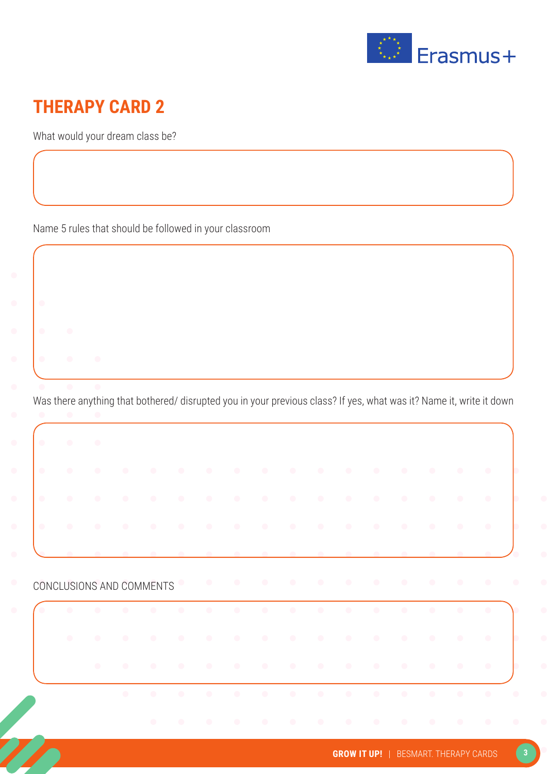

What would your dream class be?

Name 5 rules that should be followed in your classroom

Was there anything that bothered/ disrupted you in your previous class? If yes, what was it? Name it, write it down

| $\sim$ 0 $\sim$<br>$\sim$ 0.00 $^{\circ}$<br>$\bullet$<br>$\bullet$<br>CONCLUSIONS AND COMMENTS | $\bullet$<br>$\bullet$<br>$\bullet$<br>$\bullet$<br>$\bullet$<br>$\bullet$<br>$\bullet$<br>$\bullet$<br>$\bullet$<br>$\bullet$<br>$\bullet$<br>$\bullet$<br>$\bullet$ |  |
|-------------------------------------------------------------------------------------------------|-----------------------------------------------------------------------------------------------------------------------------------------------------------------------|--|
|                                                                                                 |                                                                                                                                                                       |  |
|                                                                                                 |                                                                                                                                                                       |  |
| $\bullet$                                                                                       |                                                                                                                                                                       |  |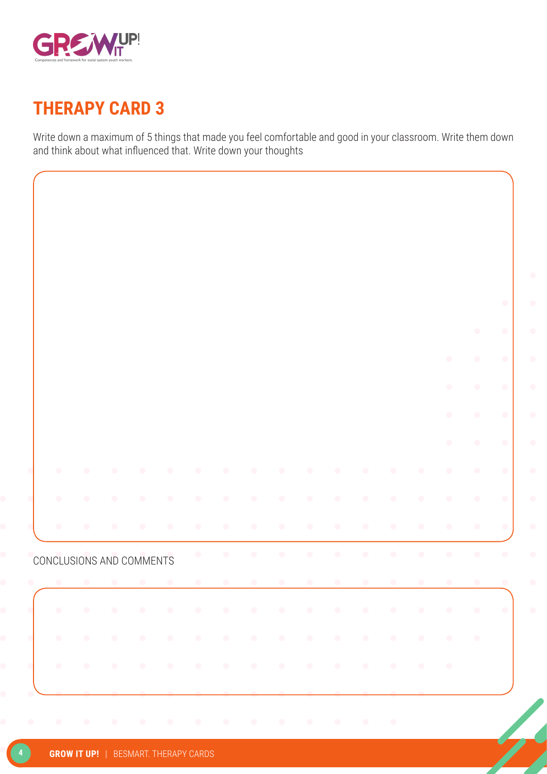

Write down a maximum of 5 things that made you feel comfortable and good in your classroom. Write them down and think about what influenced that. Write down your thoughts

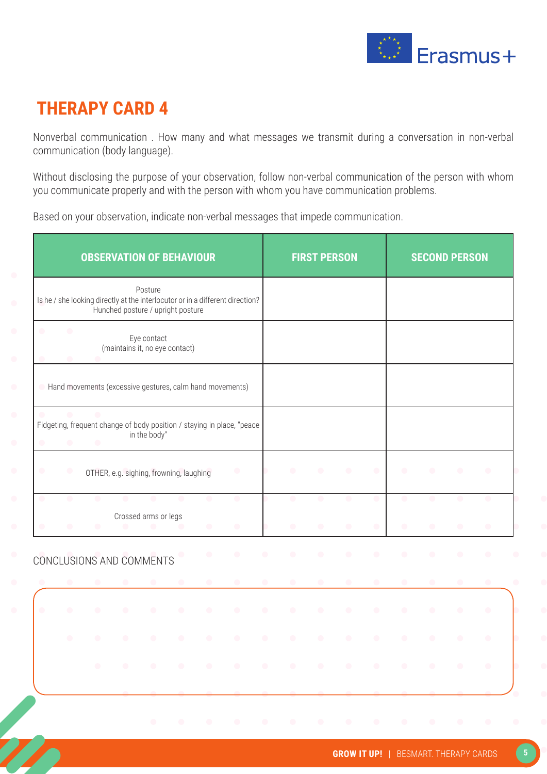

Nonverbal communication . How many and what messages we transmit during a conversation in non-verbal communication (body language).

Without disclosing the purpose of your observation, follow non-verbal communication of the person with whom you communicate properly and with the person with whom you have communication problems.

Based on your observation, indicate non-verbal messages that impede communication.

|                |                        |                             | <b>OBSERVATION OF BEHAVIOUR</b>                                                                                    |              |           |                |                        |           |           | <b>FIRST PERSON</b>    |                        |           |                        | <b>SECOND PERSON</b>   |                        |                |
|----------------|------------------------|-----------------------------|--------------------------------------------------------------------------------------------------------------------|--------------|-----------|----------------|------------------------|-----------|-----------|------------------------|------------------------|-----------|------------------------|------------------------|------------------------|----------------|
|                |                        |                             | Is he / she looking directly at the interlocutor or in a different direction?<br>Hunched posture / upright posture | Posture      |           |                |                        |           |           |                        |                        |           |                        |                        |                        |                |
| $\bullet$      | $\bullet$              |                             | (maintains it, no eye contact)                                                                                     | Eye contact  |           |                |                        |           |           |                        |                        |           |                        |                        |                        |                |
|                |                        |                             | Hand movements (excessive gestures, calm hand movements)                                                           |              |           |                |                        |           |           |                        |                        |           |                        |                        |                        |                |
| c<br>$\bullet$ | $\bullet$<br>$\bullet$ | $\blacksquare$<br>$\bullet$ | Fidgeting, frequent change of body position / staying in place, "peace                                             | in the body" |           |                |                        |           |           |                        |                        |           |                        |                        |                        |                |
| $\bullet$      | $\bullet$              |                             | OTHER, e.g. sighing, frowning, laughing                                                                            |              |           |                | $\bullet$              |           | ∩         | $\bullet$              | $\bullet$              | $\bullet$ | $\bullet$              | $\bullet$              | $\bullet$              | $\bullet$      |
|                | $\bullet$<br>$\bullet$ | $\bullet$<br>$\bullet$      | Crossed arms or legs<br>$\bullet$                                                                                  | $\bullet$    | $\bullet$ | O<br>$\bullet$ | $\bullet$<br>$\bullet$ |           | $\bullet$ | $\bullet$<br>$\bullet$ | $\bullet$<br>$\bullet$ | $\bullet$ | $\bullet$<br>$\bullet$ | $\bullet$<br>$\bullet$ | $\bullet$<br>$\bullet$ | o<br>$\bullet$ |
|                |                        |                             | CONCLUSIONS AND COMMENTS                                                                                           |              |           | $\bullet$      | $\bullet$              | œ         | $\bullet$ | $\bullet$              | $\bullet$              | $\bullet$ | $\bullet$              | $\bullet$              | $\bullet$              | $\bullet$      |
| $\bullet$      | $\bullet$              | $\bullet$                   | $\bullet$                                                                                                          | $\bullet$    | $\bullet$ | $\bullet$      | $\bullet$              | $\bullet$ | $\bullet$ | $\bullet$              | $\bullet$              | $\bullet$ | $\bullet$              | $\bullet$              | $\bullet$              | $\bullet$      |
| $\bullet$      |                        |                             |                                                                                                                    | O            | ۰         | o              |                        |           |           | O                      | $\bullet$              | $\bullet$ | $\bullet$              | $\bullet$              | $\bullet$              | $\bullet$      |
|                | $\bullet$              | ◠                           | œ                                                                                                                  | $\bullet$    | $\bullet$ | $\bullet$      | $\bullet$              |           | O         | $\bullet$              | $\bullet$              | $\bullet$ | $\bullet$              | $\bullet$              | $\bullet$              | $\bullet$      |
|                |                        | $\bullet$                   | $\bullet$                                                                                                          | $\bullet$    | $\bullet$ | $\bullet$      | $\bullet$              | $\bullet$ | $\bullet$ | $\bullet$              | $\bullet$              | $\bullet$ | $\bullet$              | $\bullet$              | $\bullet$              | $\bullet$      |
|                |                        |                             |                                                                                                                    |              |           |                |                        |           |           |                        |                        |           |                        |                        |                        |                |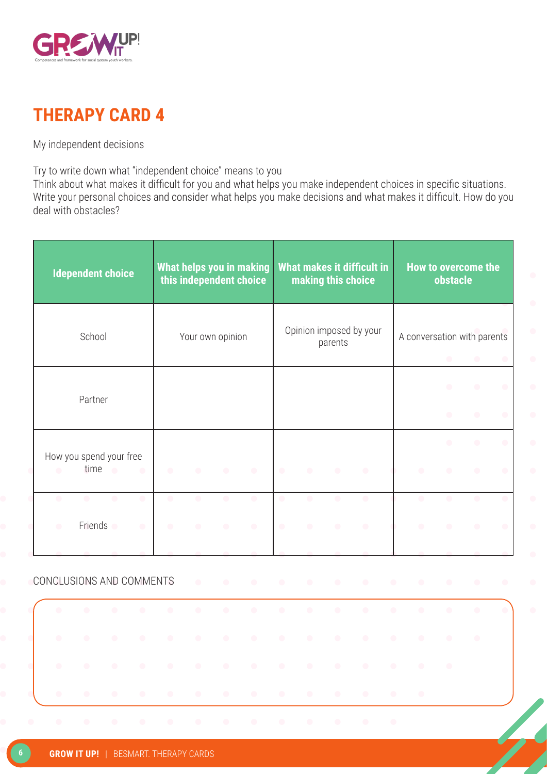



My independent decisions

Try to write down what "independent choice" means to you

Think about what makes it difficult for you and what helps you make independent choices in specific situations. Write your personal choices and consider what helps you make decisions and what makes it difficult. How do you deal with obstacles?

| <b>Idependent choice</b>                                                                | What helps you in making<br>this independent choice |                        |                        |                        | making this choice     |                        | What makes it difficult in                        |                                                                | How to overcome the<br><b>obstacle</b> |                        |                        |
|-----------------------------------------------------------------------------------------|-----------------------------------------------------|------------------------|------------------------|------------------------|------------------------|------------------------|---------------------------------------------------|----------------------------------------------------------------|----------------------------------------|------------------------|------------------------|
| School                                                                                  |                                                     | Your own opinion       |                        |                        |                        | parents                | Opinion imposed by your                           | A conversation with parents                                    | $\bullet$                              | $\bullet$              | $\bullet$              |
| Partner                                                                                 |                                                     |                        |                        |                        |                        |                        |                                                   |                                                                | $\bullet$<br>$\bullet$                 | $\bullet$<br>$\bullet$ | $\bullet$<br>$\bullet$ |
| How you spend your free<br>time<br>$\bullet$<br>$\bullet$<br>$\bullet$                  | $\bullet$<br>$\blacksquare$                         | $\bullet$              | $\bullet$              | $\bullet$              | $\bullet$              | $\bullet$              | $\bullet$                                         | $\bullet$                                                      | $\bullet$<br>$\bullet$                 | $\bullet$<br>$\bullet$ | $\bullet$<br>$\bullet$ |
| $\bullet$<br>$\bullet$<br>$\bullet$<br>$\bullet$<br>Friends o<br>$\bullet$<br>$\bullet$ | $\bullet$<br>$\bullet$<br>$\bullet$<br>$\bullet$    | $\bullet$<br>$\bullet$ | $\bullet$<br>$\bullet$ | $\bullet$<br>$\bullet$ | $\bullet$<br>$\bullet$ | $\bullet$<br>$\bullet$ | $\bullet$<br>$\bullet$                            | $\bullet$<br>$\bullet$                                         | $\bullet$<br>$\bullet$                 | $\bullet$<br>$\bullet$ | $\bullet$<br>$\bullet$ |
| CONCLUSIONS AND COMMENTS                                                                | $\bullet$                                           | $\bullet$              | $\bullet$              | $\bullet$              | $\bullet$              | $\bullet$              | $\begin{array}{c} \bullet \\ \bullet \end{array}$ | $\bullet$<br>$\bullet$                                         | $\bullet$                              | $\bullet$              | $\bullet$              |
| $\bullet$<br>$\bullet$<br>$\bullet$<br>∩                                                | $\bullet$<br>$\bullet$<br>$\bullet$<br>$\bullet$    | $\bullet$<br>$\bullet$ | $\bullet$<br>$\bullet$ | $\bullet$<br>$\bullet$ | $\bullet$<br>$\bullet$ | $\bullet$              | $\bullet$<br>$\bullet$                            | $\bullet$<br>$\bullet$<br>$\bullet$<br>$\bullet$               | $\bullet$                              | $\bullet$<br>$\bullet$ |                        |
| $\bullet$<br>$\bullet$<br>$\bullet$<br>$\bullet$                                        | $\bullet$<br>$\bullet$                              | $\bullet$              | $\bullet$              | $\bullet$              | $\bullet$              | $\bullet$              | $\bullet$                                         | $\bullet$<br>$\bullet$                                         | $\bullet$                              |                        |                        |
| $\bullet$<br>$\bullet$<br>$\bullet$                                                     | $\bullet$<br>$\bullet$                              | $\bullet$              | $\bullet$              | $\bullet$              | $\bullet$              | $\bullet$              | $\bullet$                                         | $\bullet$<br>$\begin{array}{c} \bullet \\ \bullet \end{array}$ |                                        |                        |                        |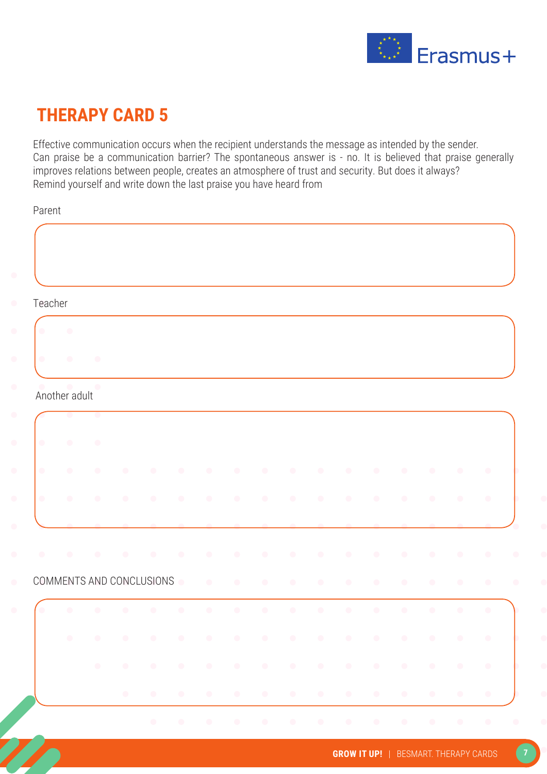

Effective communication occurs when the recipient understands the message as intended by the sender. Can praise be a communication barrier? The spontaneous answer is - no. It is believed that praise generally improves relations between people, creates an atmosphere of trust and security. But does it always? Remind yourself and write down the last praise you have heard from

Parent

| Teacher   |                            |           |           |           |           |                                                                                                                                                                                                                                                                                                                                                                                                                                                              |           |           |           |           |           |           |           |           |           |           |
|-----------|----------------------------|-----------|-----------|-----------|-----------|--------------------------------------------------------------------------------------------------------------------------------------------------------------------------------------------------------------------------------------------------------------------------------------------------------------------------------------------------------------------------------------------------------------------------------------------------------------|-----------|-----------|-----------|-----------|-----------|-----------|-----------|-----------|-----------|-----------|
|           | $\bullet$                  |           |           |           |           |                                                                                                                                                                                                                                                                                                                                                                                                                                                              |           |           |           |           |           |           |           |           |           |           |
| $\bullet$ | $\bullet$                  | $\bullet$ |           |           |           |                                                                                                                                                                                                                                                                                                                                                                                                                                                              |           |           |           |           |           |           |           |           |           |           |
|           | $\bullet$<br>Another adult | $\bullet$ |           |           |           |                                                                                                                                                                                                                                                                                                                                                                                                                                                              |           |           |           |           |           |           |           |           |           |           |
|           |                            | $\bullet$ |           |           |           |                                                                                                                                                                                                                                                                                                                                                                                                                                                              |           |           |           |           |           |           |           |           |           |           |
| $\bullet$ | $\bullet$                  | $\bullet$ |           |           |           |                                                                                                                                                                                                                                                                                                                                                                                                                                                              |           |           |           |           |           |           |           |           |           |           |
| $\bullet$ | $\bullet$                  | $\bullet$ | $\bullet$ | $\bullet$ | $\bullet$ | $\bullet$                                                                                                                                                                                                                                                                                                                                                                                                                                                    | $\bullet$ | $\bullet$ | $\bullet$ | $\bullet$ | $\bullet$ | $\bullet$ | $\bullet$ | $\bullet$ | $\bullet$ | $\bullet$ |
| $\bullet$ | $\bullet$                  | $\bullet$ | $\bullet$ | $\bullet$ | $\bullet$ | $\bullet$                                                                                                                                                                                                                                                                                                                                                                                                                                                    | $\bullet$ | $\bullet$ | $\bullet$ | $\bullet$ | $\bullet$ | $\bullet$ | $\bullet$ | $\bullet$ | $\bullet$ |           |
|           |                            |           |           |           |           |                                                                                                                                                                                                                                                                                                                                                                                                                                                              |           |           |           |           |           |           |           |           |           |           |
| $\bullet$ |                            | $\bullet$ | $\bullet$ |           |           | $\bullet$                                                                                                                                                                                                                                                                                                                                                                                                                                                    |           | $\bullet$ | $\bullet$ | $\bullet$ | $\bullet$ | $\bullet$ | $\bullet$ | $\bullet$ | $\bullet$ | $\bullet$ |
|           | COMMENTS AND CONCLUSIONS   |           |           |           |           |                                                                                                                                                                                                                                                                                                                                                                                                                                                              | $\bullet$ | $\bullet$ | $\bullet$ | $\bullet$ | $\bullet$ | $\bullet$ | $\bullet$ | $\bullet$ | $\bullet$ | $\bullet$ |
|           | $\bullet$                  |           |           | $\bullet$ | $\bullet$ | $\bullet$                                                                                                                                                                                                                                                                                                                                                                                                                                                    | $\bullet$ | $\bullet$ | $\bullet$ | $\bullet$ | $\bullet$ | $\bullet$ | $\bullet$ | $\bullet$ | $\bullet$ | $\bullet$ |
|           | $\bullet$ .                |           |           |           |           |                                                                                                                                                                                                                                                                                                                                                                                                                                                              |           |           |           |           |           |           |           |           |           |           |
|           |                            |           |           |           |           | $\mathbf{A} = \left\{ \begin{array}{ll} \mathbf{A} & \mathbf{A} & \mathbf{A} & \mathbf{A} \\ \mathbf{A} & \mathbf{A} & \mathbf{A} & \mathbf{A} \end{array} \right. \quad \left\{ \begin{array}{ll} \mathbf{A} & \mathbf{A} & \mathbf{A} & \mathbf{A} & \mathbf{A} \\ \mathbf{A} & \mathbf{A} & \mathbf{A} & \mathbf{A} & \mathbf{A} \end{array} \right. \quad \left\{ \begin{array}{ll} \mathbf{A} & \mathbf{A} & \mathbf{A} & \mathbf{A} \\ \mathbf{A} & \$ |           |           |           |           |           |           |           |           |           |           |
|           |                            |           | $\bullet$ |           |           |                                                                                                                                                                                                                                                                                                                                                                                                                                                              |           |           |           |           |           |           |           |           |           |           |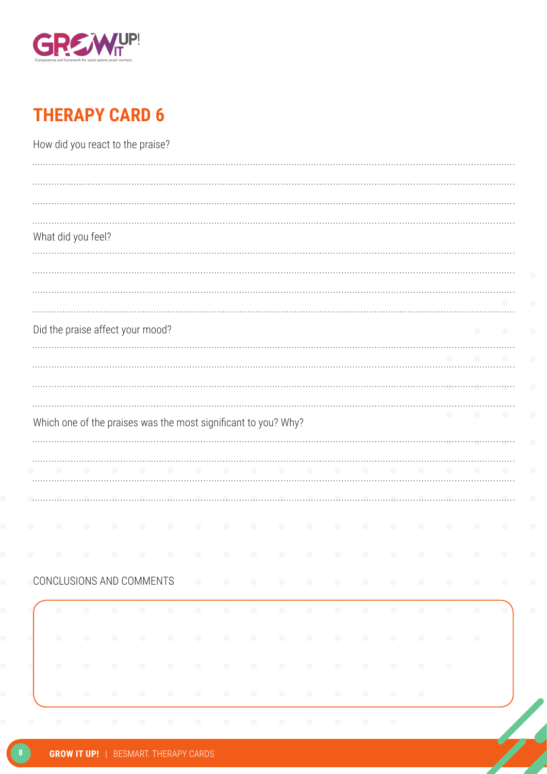

| What did you feel?                                                                                                                                                                |           |           |           |           |           |           |           |  |                        |                    |           |           |           |        |                                               |
|-----------------------------------------------------------------------------------------------------------------------------------------------------------------------------------|-----------|-----------|-----------|-----------|-----------|-----------|-----------|--|------------------------|--------------------|-----------|-----------|-----------|--------|-----------------------------------------------|
|                                                                                                                                                                                   |           |           |           |           |           |           |           |  |                        |                    |           |           |           |        |                                               |
|                                                                                                                                                                                   |           |           |           |           |           |           |           |  |                        |                    |           |           |           |        |                                               |
| Did the praise affect your mood?                                                                                                                                                  |           |           |           |           |           |           |           |  |                        |                    |           |           |           |        |                                               |
|                                                                                                                                                                                   |           |           |           |           |           |           |           |  |                        |                    |           |           |           |        |                                               |
|                                                                                                                                                                                   |           |           |           |           |           |           |           |  |                        |                    |           |           |           |        |                                               |
|                                                                                                                                                                                   |           |           |           |           |           |           |           |  |                        |                    |           |           |           |        |                                               |
|                                                                                                                                                                                   |           |           |           |           |           |           |           |  |                        |                    |           |           |           |        |                                               |
|                                                                                                                                                                                   |           |           |           |           |           |           |           |  |                        |                    |           |           |           |        |                                               |
|                                                                                                                                                                                   |           |           |           |           |           |           |           |  |                        |                    |           |           |           |        |                                               |
|                                                                                                                                                                                   |           |           |           |           |           |           |           |  |                        |                    |           |           |           |        |                                               |
|                                                                                                                                                                                   | .         |           |           |           |           |           |           |  |                        |                    |           |           |           | $\sim$ |                                               |
|                                                                                                                                                                                   |           |           |           |           |           |           |           |  |                        |                    |           |           |           |        |                                               |
| $\bullet$                                                                                                                                                                         | $\bullet$ | $\bullet$ | $\bullet$ | $\bullet$ | $\bullet$ | $\bullet$ | $\bullet$ |  | $\sim$ 0.00 $^{\circ}$ | $\sim$             | $\bullet$ | $\bullet$ | $\bullet$ |        |                                               |
|                                                                                                                                                                                   | $\bullet$ | $\bullet$ | $\bullet$ | $\bullet$ | $\bullet$ | $\bullet$ |           |  | $\sim$ 0.000 $\sim$    | $\bullet$          | $\bullet$ |           | $\bullet$ |        |                                               |
| Which one of the praises was the most significant to you? Why?<br>CONCLUSIONS AND COMMENTS CONDUCTS AND A RESIDENCE OF A RESIDENCE OF A RESIDENCE OF A RESIDENCE OF A RESIDENCE O | $\bullet$ | $\bullet$ | $\bullet$ |           |           |           |           |  |                        | $\sim$ 0.00 $\sim$ | $\sim$ 0  | $\bullet$ |           |        | $\sim$ $\sim$<br>$\sim$ 0 $\sim$<br>$\bullet$ |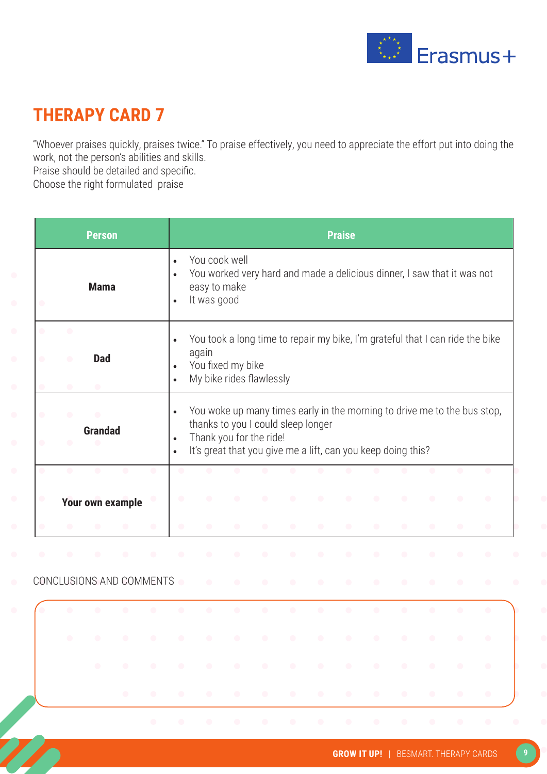

"Whoever praises quickly, praises twice." To praise effectively, you need to appreciate the effort put into doing the work, not the person's abilities and skills.

Praise should be detailed and specific.

Choose the right formulated praise

|                |                                     | <b>Person</b>               |                  |           |                                     |                                                                                                                                                                                                                                |           |           |           |           | <b>Praise</b> |           |           |           |           |           |
|----------------|-------------------------------------|-----------------------------|------------------|-----------|-------------------------------------|--------------------------------------------------------------------------------------------------------------------------------------------------------------------------------------------------------------------------------|-----------|-----------|-----------|-----------|---------------|-----------|-----------|-----------|-----------|-----------|
| $\bigcirc$     |                                     | <b>Mama</b>                 |                  |           | $\bullet$<br>$\bullet$<br>$\bullet$ | You cook well<br>You worked very hard and made a delicious dinner, I saw that it was not<br>easy to make<br>It was good                                                                                                        |           |           |           |           |               |           |           |           |           |           |
| O              | $\bullet$<br>$\bullet$<br>$\bullet$ | <b>Dad</b><br>$\bullet$     |                  |           | $\bullet$<br>$\bullet$<br>$\bullet$ | You took a long time to repair my bike, I'm grateful that I can ride the bike<br>again<br>You fixed my bike<br>My bike rides flawlessly                                                                                        |           |           |           |           |               |           |           |           |           |           |
| $\bullet$<br>۰ | $\bullet$<br>$\bullet$              | $\bullet$<br><b>Grandad</b> |                  |           | $\bullet$<br>$\bullet$<br>$\bullet$ | You woke up many times early in the morning to drive me to the bus stop,<br>thanks to you I could sleep longer<br>Thank you for the ride!<br>It's great that you give me a lift, can you keep doing this?                      |           |           |           |           |               |           |           |           |           |           |
|                | $\bullet$                           | $\bullet$                   | $\bullet$        | $\bullet$ | $\bullet$                           | $\bullet$                                                                                                                                                                                                                      | $\bullet$ | $\bullet$ | $\bullet$ | $\bullet$ | $\bullet$     | $\bullet$ | $\bullet$ | $\bullet$ | $\bullet$ | $\bullet$ |
|                |                                     |                             | Your own example |           | $\bullet$                           |                                                                                                                                                                                                                                |           |           |           |           |               |           |           |           |           | $\bullet$ |
|                |                                     |                             |                  | $\bullet$ | $\bullet$                           |                                                                                                                                                                                                                                |           |           |           |           |               |           |           |           |           | $\bullet$ |
|                |                                     |                             |                  |           |                                     | $\bullet$                                                                                                                                                                                                                      |           |           |           |           |               |           |           |           |           |           |
|                | CONCLUSIONS AND COMMENTS            |                             |                  |           | $\bullet$                           | $\bullet$                                                                                                                                                                                                                      | $\bullet$ |           |           |           | $\bullet$     | $\bullet$ |           |           |           | O         |
|                |                                     |                             |                  |           |                                     | $\bullet$                                                                                                                                                                                                                      |           |           | $\bullet$ | $\bullet$ | $\bullet$     | $\bullet$ | $\bullet$ | $\bullet$ | $\bullet$ |           |
|                |                                     |                             |                  |           |                                     |                                                                                                                                                                                                                                |           |           |           |           |               |           |           |           |           |           |
|                |                                     |                             |                  |           |                                     | to the contract of the contract of the contract of the contract of the contract of the contract of the contract of                                                                                                             |           |           |           |           |               |           |           |           |           |           |
|                |                                     |                             |                  |           |                                     | to a construction of the construction of the construction of the construction of the construction of the construction of the construction of the construction of the construction of the construction of the construction of t |           |           |           |           |               |           |           |           |           |           |
|                |                                     |                             |                  |           |                                     |                                                                                                                                                                                                                                |           |           |           |           |               |           |           |           |           |           |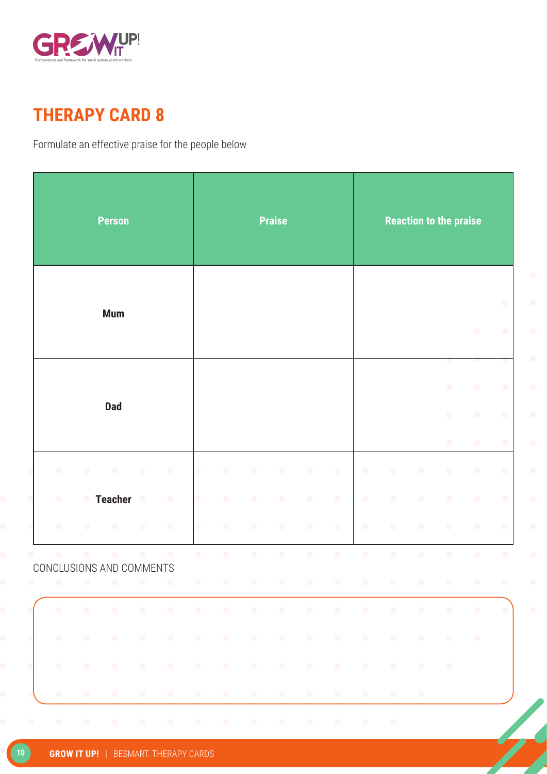

Formulate an effective praise for the people below

|                                       |           | <b>Person</b>  |            |           |                                |                            |            | <b>Praise</b> |           |                                                                                                                 |            |            |                             | <b>Reaction to the praise</b>       |                                        |                                     |
|---------------------------------------|-----------|----------------|------------|-----------|--------------------------------|----------------------------|------------|---------------|-----------|-----------------------------------------------------------------------------------------------------------------|------------|------------|-----------------------------|-------------------------------------|----------------------------------------|-------------------------------------|
|                                       |           | <b>Mum</b>     |            |           |                                |                            |            |               |           |                                                                                                                 |            |            |                             |                                     | $\bigcirc$                             | $\bullet$<br>$\bullet$              |
|                                       |           | <b>Dad</b>     |            |           |                                |                            |            |               |           |                                                                                                                 |            |            |                             | $\bullet$<br>$\bullet$<br>$\bullet$ | $\bigcirc$<br>$\bigcirc$<br>$\bigcirc$ | $\bullet$<br>$\bullet$<br>$\bullet$ |
| $\bullet$                             | $\bullet$ | $\bullet$      | $\bigcirc$ | $\bullet$ | $\bullet$                      | $\bullet$                  | $\bigcirc$ | $\bigcirc$    | $\bullet$ | $\bullet$                                                                                                       | $\bigcirc$ | $\bigcirc$ | $\bigcirc$                  | $\bullet$                           | $\bigcirc$                             | $\bigcirc$                          |
| $\bullet$                             | $\bullet$ | <b>Teacher</b> | $\bullet$  | $\bullet$ |                                | $\bullet$                  | $\bullet$  | $\bullet$     | $\bullet$ | $\bullet$                                                                                                       | $\bullet$  | $\bigcirc$ | $\bullet$                   | $\bullet$                           | $\bigcirc$                             | $\bullet$                           |
| $\bullet$                             | $\bullet$ | $\bullet$      | $\bullet$  | $\bullet$ | $\bullet$                      | $\bullet$                  | $\bigcirc$ | $\bullet$     | $\bullet$ | $\bullet$                                                                                                       | $\bullet$  | $\bullet$  | $\bullet$                   | $\bullet$                           | $\bigcirc$                             | $\bullet$                           |
| $\bullet$<br>CONCLUSIONS AND COMMENTS | $\bullet$ | $\bullet$      | $\bullet$  | $\bullet$ | $\bullet$<br><b>CONTRACTOR</b> | $\bullet$<br>$\sim$ $\sim$ | $\bigcirc$ | $\bigcirc$    | $\bullet$ | $\bigcirc$<br>$\sim$ $\sim$                                                                                     | $\bigcirc$ | $\bullet$  | $\bullet$<br>$\blacksquare$ | $\bullet$                           | $\bigcirc$                             | $\bigcirc$                          |
|                                       |           |                |            |           |                                |                            |            |               |           |                                                                                                                 |            |            |                             |                                     |                                        | $\bullet$                           |
| $\bullet$                             |           |                |            |           |                                |                            |            |               |           | a la la la la la la la la la la la                                                                              |            |            |                             |                                     | $\bullet$                              |                                     |
| $\bullet$                             |           |                |            |           |                                |                            |            |               |           | the contract of the contract of the contract of the contract of the contract of the contract of the contract of |            |            |                             | $\sim$ 0                            |                                        |                                     |
| $\bullet$                             |           |                |            |           |                                |                            |            |               |           | la la la la la la la la la la la                                                                                |            |            |                             |                                     |                                        |                                     |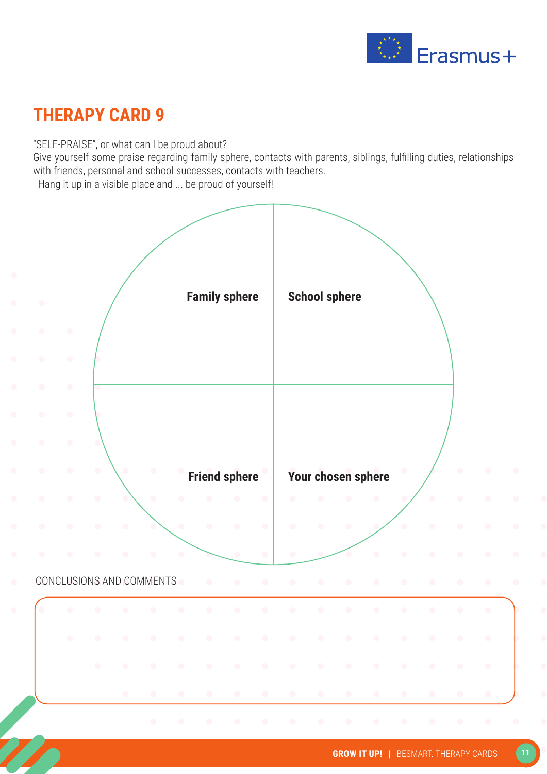

"SELF-PRAISE", or what can I be proud about?

Give yourself some praise regarding family sphere, contacts with parents, siblings, fulfilling duties, relationships with friends, personal and school successes, contacts with teachers. Hang it up in a visible place and ... be proud of yourself!

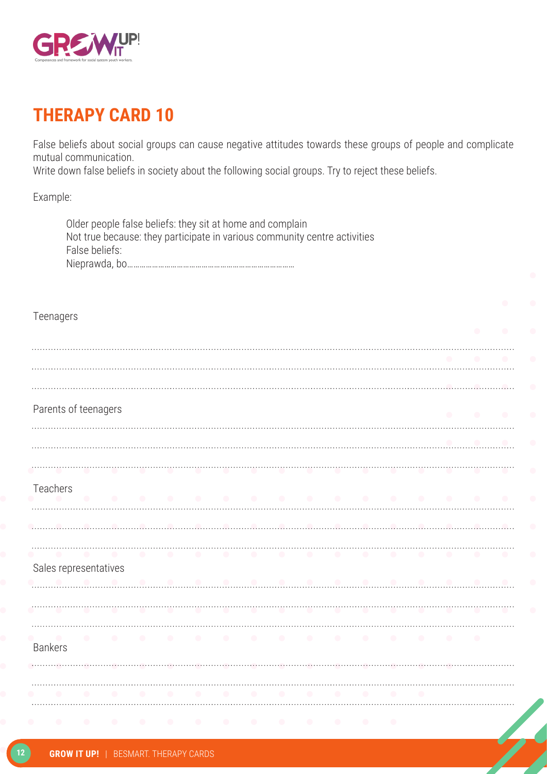

False beliefs about social groups can cause negative attitudes towards these groups of people and complicate mutual communication.

Write down false beliefs in society about the following social groups. Try to reject these beliefs.

Example:

|                | Older people false beliefs: they sit at home and complain<br>Not true because: they participate in various community centre activities<br>False beliefs: |           |               |  |  |  |  |  |  |
|----------------|----------------------------------------------------------------------------------------------------------------------------------------------------------|-----------|---------------|--|--|--|--|--|--|
| Teenagers      |                                                                                                                                                          |           |               |  |  |  |  |  |  |
|                |                                                                                                                                                          |           |               |  |  |  |  |  |  |
|                | Parents of teenagers                                                                                                                                     |           |               |  |  |  |  |  |  |
|                |                                                                                                                                                          |           |               |  |  |  |  |  |  |
| Teachers       |                                                                                                                                                          | .         |               |  |  |  |  |  |  |
|                | Sales representatives                                                                                                                                    | $\bullet$ | $\sim$ $\sim$ |  |  |  |  |  |  |
| $\bullet$      |                                                                                                                                                          |           |               |  |  |  |  |  |  |
| <b>Bankers</b> | .                                                                                                                                                        |           |               |  |  |  |  |  |  |
|                |                                                                                                                                                          |           |               |  |  |  |  |  |  |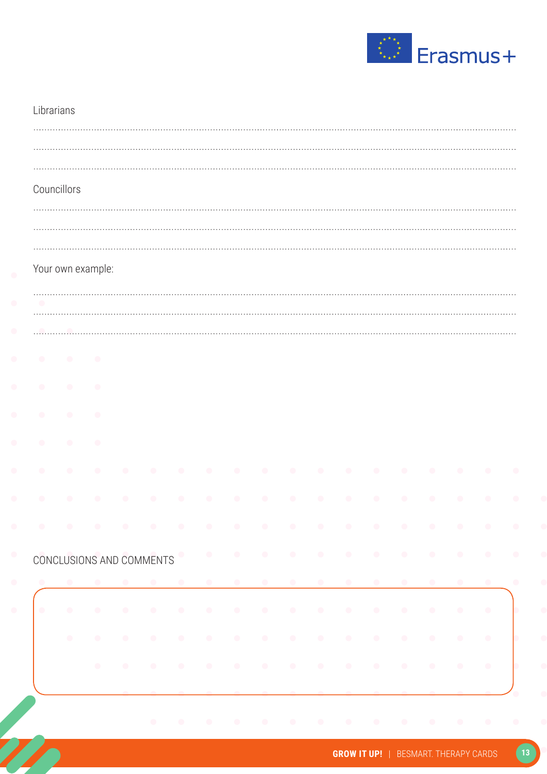

|                          | Councillors |                   |           |                          |           |           |                                                                                                                  |           |           |                |                         |           |                         |           |
|--------------------------|-------------|-------------------|-----------|--------------------------|-----------|-----------|------------------------------------------------------------------------------------------------------------------|-----------|-----------|----------------|-------------------------|-----------|-------------------------|-----------|
|                          |             |                   |           |                          |           |           |                                                                                                                  |           |           |                |                         |           |                         |           |
|                          |             |                   |           |                          |           |           |                                                                                                                  |           |           |                |                         |           |                         |           |
|                          |             | Your own example: |           |                          |           |           |                                                                                                                  |           |           |                |                         |           |                         |           |
| $\overline{\phantom{a}}$ |             |                   |           |                          |           |           |                                                                                                                  |           |           |                |                         |           |                         |           |
|                          |             |                   |           |                          |           |           |                                                                                                                  |           |           |                |                         |           |                         |           |
| $\bullet$                | $\bullet$   | $\bullet$         |           |                          |           |           |                                                                                                                  |           |           |                |                         |           |                         |           |
|                          | O           | O                 |           |                          |           |           |                                                                                                                  |           |           |                |                         |           |                         |           |
| $\bullet$                | $\bullet$   | $\bullet$         |           |                          |           |           |                                                                                                                  |           |           |                |                         |           |                         |           |
|                          | O           | $\bullet$         |           |                          |           |           |                                                                                                                  |           |           |                |                         |           |                         |           |
| $\bullet$                | $\bullet$   | $\bullet$         |           |                          |           |           |                                                                                                                  |           |           | $\blacksquare$ | $\bullet$               | $\bullet$ | $\bullet$               | $\bullet$ |
|                          |             |                   |           |                          |           |           |                                                                                                                  |           |           |                |                         |           |                         |           |
|                          |             |                   |           |                          |           |           | a concern concern a concern concern and concern a series of the series of the series of the series of the series |           |           |                |                         |           |                         |           |
|                          |             |                   |           | CONCLUSIONS AND COMMENTS |           |           |                                                                                                                  |           |           |                |                         |           |                         |           |
|                          |             |                   |           |                          |           |           |                                                                                                                  | $\bullet$ | $\bullet$ | $\bullet$      |                         | $\bullet$ |                         |           |
| $\bullet$                | $\bullet$   | $\bullet$         | $\bullet$ | $\bullet$                | $\bullet$ | $\bullet$ |                                                                                                                  |           |           | $\sim$         | $\bullet$               | $\bullet$ | $\langle \cdot \rangle$ | $\bullet$ |
|                          | $\bigcirc$  | $\bullet$         | $\bullet$ | $\bullet$                |           |           |                                                                                                                  |           |           |                | $\langle \cdot \rangle$ | $\bullet$ | $\bullet$               | $\bullet$ |
|                          |             |                   |           |                          |           |           |                                                                                                                  |           |           |                |                         |           |                         |           |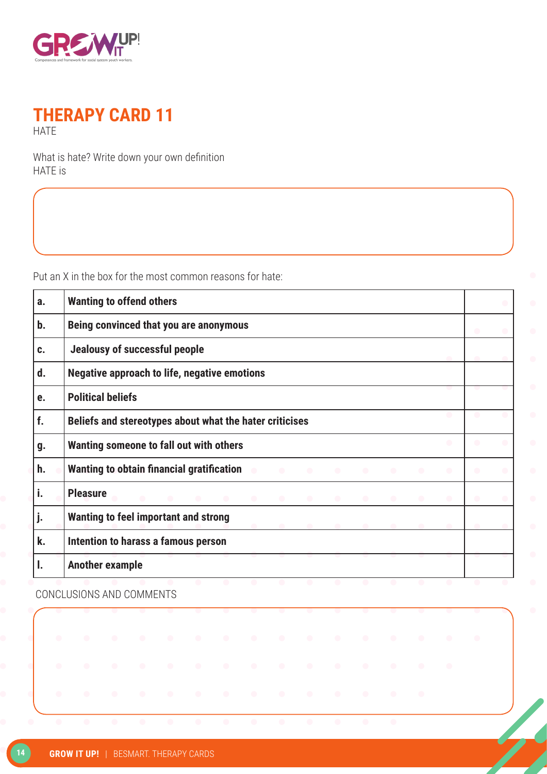

#### **THERAPY CARD 11 HATE**

What is hate? Write down your own definition HATE is

Put an X in the box for the most common reasons for hate:

| a. | <b>Wanting to offend others</b>                                                                                                                    |  |
|----|----------------------------------------------------------------------------------------------------------------------------------------------------|--|
| b. | Being convinced that you are anonymous                                                                                                             |  |
| C. | Jealousy of successful people                                                                                                                      |  |
| d. | <b>Negative approach to life, negative emotions</b>                                                                                                |  |
| e. | <b>Political beliefs</b>                                                                                                                           |  |
| f. | Beliefs and stereotypes about what the hater criticises                                                                                            |  |
| g. | $\bullet$<br>Wanting someone to fall out with others                                                                                               |  |
| h. | Wanting to obtain financial gratification<br>$\sqrt{2}$<br>$\bullet$<br>$\bullet$<br>$\bullet$<br>$\bullet$<br>$\bullet$<br>$\bullet$<br>$\bullet$ |  |
| i. | <b>Pleasure</b><br>$\bullet$<br><b>Contract Contract Contract Contract</b><br>$\bullet$<br>$\bullet$<br>$\bullet$<br>$\bullet$                     |  |
| j. | <b>Wanting to feel important and strong</b>                                                                                                        |  |
| k. | Intention to harass a famous person                                                                                                                |  |
|    | <b>Another example</b>                                                                                                                             |  |

CONCLUSIONS AND COMMENTS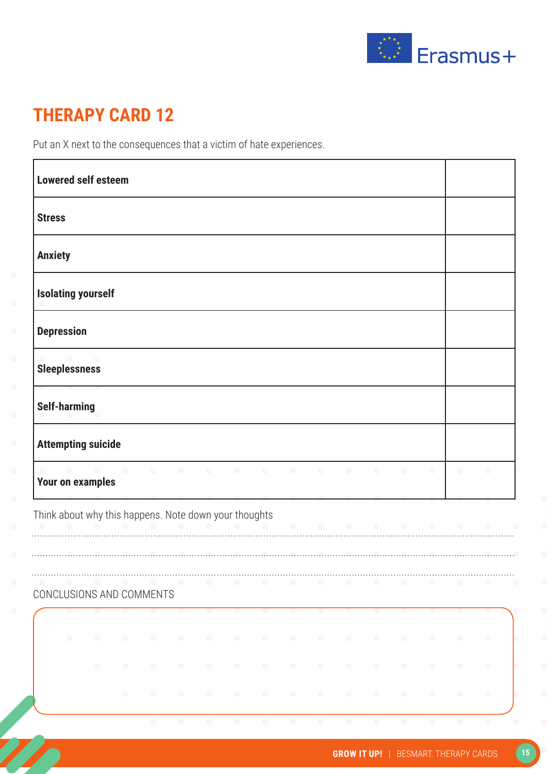

Put an X next to the consequences that a victim of hate experiences.

|                |                      | <b>Lowered self esteem</b>                            |           |           |           |           |                          |           |           |                     |                   |           |                 |           |           |           |
|----------------|----------------------|-------------------------------------------------------|-----------|-----------|-----------|-----------|--------------------------|-----------|-----------|---------------------|-------------------|-----------|-----------------|-----------|-----------|-----------|
| <b>Stress</b>  |                      |                                                       |           |           |           |           |                          |           |           |                     |                   |           |                 |           |           |           |
| <b>Anxiety</b> |                      |                                                       |           |           |           |           |                          |           |           |                     |                   |           |                 |           |           |           |
|                |                      | <b>Isolating yourself</b>                             |           |           |           |           |                          |           |           |                     |                   |           |                 |           |           |           |
|                | <b>Depression</b>    |                                                       |           |           |           |           |                          |           |           |                     |                   |           |                 |           |           |           |
|                | <b>Sleeplessness</b> |                                                       |           |           |           |           |                          |           |           |                     |                   |           |                 |           |           |           |
|                | <b>Self-harming</b>  |                                                       |           |           |           |           |                          |           |           |                     |                   |           |                 |           |           |           |
|                |                      | <b>Attempting suicide</b>                             |           |           |           |           |                          |           |           |                     |                   |           |                 |           |           |           |
|                |                      | .<br><b>Your on examples</b>                          |           |           |           |           |                          |           |           |                     |                   |           |                 |           | $\bullet$ |           |
|                |                      | Think about why this happens. Note down your thoughts |           |           |           |           |                          |           |           | .                   |                   |           |                 |           |           |           |
|                |                      |                                                       |           |           |           |           |                          |           |           |                     |                   |           |                 |           |           |           |
|                |                      | CONCLUSIONS AND COMMENTS                              |           |           |           | $\bullet$ | $\overline{\phantom{a}}$ | $\bullet$ | $\bullet$ | $\bullet$           | $\bullet$         | $\bullet$ | $\bullet$       | $\bullet$ |           |           |
|                | $\bullet$            | $\bullet$                                             | $\bullet$ | $\bullet$ | $\bullet$ | $\bullet$ | $\bullet$                | $\bullet$ | $\bullet$ |                     |                   | $\bullet$ | $\bullet$       | $\bullet$ | $\bullet$ | $\bullet$ |
|                |                      | $\bullet$                                             | $\bullet$ | $\bullet$ | $\bullet$ | $\bullet$ | $\bullet$                | $\bullet$ | $\bullet$ |                     | $\bullet$         | $\bullet$ | $\bullet$       | $\bullet$ | $\bullet$ | $\bullet$ |
|                |                      |                                                       | $\bullet$ |           |           | $\bullet$ |                          |           | $\bullet$ | $\sim$ 0.000 $\sim$ | $\sim$ 000 $\sim$ | $\sim$ 0  | $\sim$ 0 $\sim$ | $\sim$    | $\bullet$ | $\bullet$ |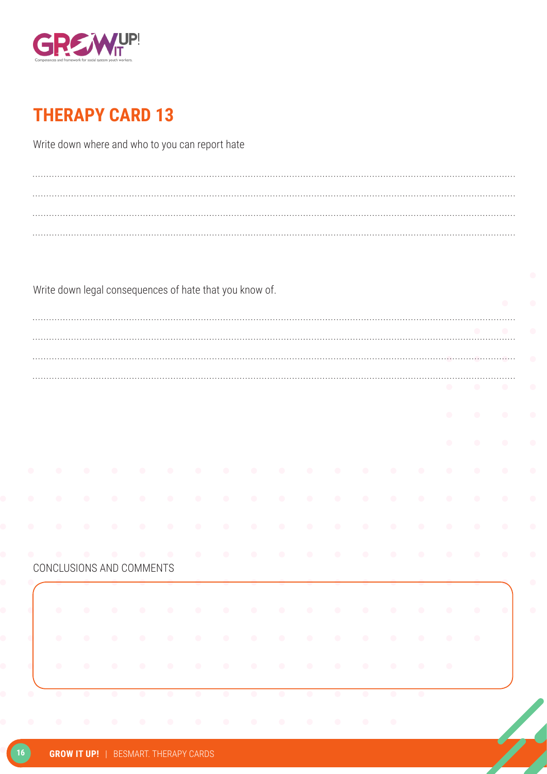

Write down where and who to you can report hate

|           |           |           | Write down legal consequences of hate that you know of. |           |           |           |           |           |            |           |           |           |           |           |           |           |
|-----------|-----------|-----------|---------------------------------------------------------|-----------|-----------|-----------|-----------|-----------|------------|-----------|-----------|-----------|-----------|-----------|-----------|-----------|
|           |           |           |                                                         |           |           |           |           |           |            |           |           |           |           |           |           | $\bullet$ |
|           |           |           |                                                         |           |           |           |           |           |            |           |           |           |           |           |           |           |
|           |           |           |                                                         |           |           |           |           |           |            |           |           |           |           |           |           |           |
|           |           |           |                                                         |           |           |           |           |           |            |           |           |           |           |           |           |           |
|           |           |           |                                                         |           |           |           |           |           |            |           |           |           |           |           |           |           |
|           |           |           |                                                         |           |           |           |           |           |            |           |           |           |           |           |           |           |
|           |           |           |                                                         |           |           |           |           |           |            |           |           |           |           | $\bullet$ | $\bullet$ | $\bullet$ |
|           |           |           |                                                         |           |           |           |           |           |            |           |           |           |           | $\bullet$ |           | $\bullet$ |
|           |           |           |                                                         |           |           |           |           |           |            |           |           |           |           |           |           |           |
|           |           |           |                                                         |           |           |           |           | $\bullet$ | $\bullet$  | $\bullet$ | $\bullet$ | $\bullet$ | $\bullet$ | $\bullet$ | $\bullet$ | $\bullet$ |
|           |           | $\bullet$ | $\bullet$                                               | $\bullet$ | $\bullet$ | $\bullet$ | $\bullet$ | $\bullet$ | $\bullet$  | $\bullet$ | $\bullet$ | $\bullet$ | $\bullet$ | $\bullet$ | $\bullet$ | $\bullet$ |
|           |           |           |                                                         |           |           |           |           |           |            |           |           |           |           |           |           |           |
|           | $\bullet$ | $\bullet$ | $\bullet$                                               | $\bullet$ | $\bullet$ | $\bullet$ | $\bullet$ | $\bullet$ | $\bullet$  | $\bullet$ | $\bullet$ | $\bullet$ | $\bullet$ | $\bullet$ | $\bullet$ | $\bullet$ |
|           |           |           |                                                         | $\bullet$ | $\bullet$ | $\bullet$ | $\bullet$ | $\bullet$ | $\bullet$  |           |           |           |           |           |           |           |
|           |           |           | CONCLUSIONS AND COMMENTS                                |           |           |           |           |           |            |           |           |           |           |           |           |           |
|           |           |           |                                                         |           |           |           |           |           |            |           |           |           |           |           |           |           |
|           |           |           |                                                         | $\bullet$ | $\bullet$ | $\bullet$ | $\bullet$ | $\bullet$ | $\bullet$  | $\bullet$ | $\bullet$ | $\bullet$ | $\bullet$ | $\bullet$ |           | $\bullet$ |
|           |           |           |                                                         |           |           |           |           |           |            |           |           |           |           |           |           |           |
|           |           |           |                                                         |           | $\bullet$ | $\bullet$ | $\bullet$ | $\bullet$ | $\bigcirc$ | $\bullet$ | $\bullet$ | $\bullet$ | $\bullet$ | $\bullet$ | $\bullet$ |           |
| $\bullet$ |           |           |                                                         | $\bullet$ | $\bullet$ | $\bullet$ | $\bullet$ | $\bullet$ | $\bullet$  | $\bullet$ | $\bullet$ | $\bullet$ | $\bullet$ | $\bullet$ |           |           |
|           |           |           |                                                         |           |           |           |           |           |            |           |           |           |           |           |           |           |
|           | $\bullet$ | $\bullet$ | $\bullet$                                               | $\bullet$ | $\bullet$ | $\bullet$ | $\bullet$ | $\bullet$ | $\bullet$  | $\bullet$ | $\bullet$ | $\bullet$ | $\bullet$ |           |           |           |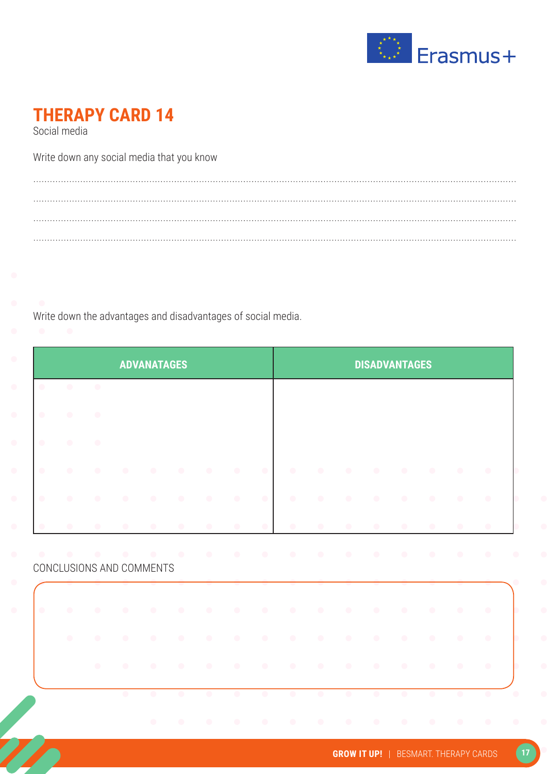

Social media

Write down any social media that you know

Write down the advantages and disadvantages of social media.

|           |           |           |                          | <b>ADVANATAGES</b> |           |           |           |           |           |           |           | <b>DISADVANTAGES</b> |           |           |           |                                                  |
|-----------|-----------|-----------|--------------------------|--------------------|-----------|-----------|-----------|-----------|-----------|-----------|-----------|----------------------|-----------|-----------|-----------|--------------------------------------------------|
| $\bullet$ | $\bullet$ | $\bullet$ |                          |                    |           |           |           |           |           |           |           |                      |           |           |           |                                                  |
| $\bullet$ | $\bullet$ | $\bullet$ |                          |                    |           |           |           |           |           |           |           |                      |           |           |           |                                                  |
| $\bullet$ | $\bullet$ | $\bullet$ |                          |                    |           |           |           |           |           |           |           |                      |           |           |           |                                                  |
| $\bullet$ | $\bullet$ | $\bullet$ | $\bullet$                | $\bullet$          | $\bullet$ | $\bullet$ | $\bullet$ | $\bullet$ | $\bullet$ | $\bullet$ | $\bullet$ | $\bullet$            | $\bullet$ | $\bullet$ | $\bullet$ | $\bullet$                                        |
| $\bullet$ | $\bullet$ | $\bullet$ | $\bullet$                | $\bullet$          | $\bullet$ | $\bullet$ | $\bullet$ | $\bullet$ | $\bullet$ | $\bullet$ | $\bullet$ | $\bullet$            | $\bullet$ | $\bullet$ | $\bullet$ | $\bullet$                                        |
| $\bullet$ | $\bullet$ | $\bullet$ | $\bullet$                | $\bullet$          | $\bullet$ | $\bullet$ | $\bullet$ | $\bullet$ |           | $\bullet$ | $\bullet$ | $\bullet$            | $\bullet$ | $\bullet$ | $\bullet$ | $\bullet$                                        |
|           |           |           |                          |                    |           |           |           |           |           |           |           |                      |           |           |           |                                                  |
|           |           | $\bullet$ |                          | $\bullet$          | $\sim$    |           | $\bullet$ | $\bullet$ | $\bullet$ | $\bullet$ | $\bullet$ | $\bullet$            | $\bullet$ | $\bullet$ |           |                                                  |
|           |           |           | CONCLUSIONS AND COMMENTS |                    |           |           |           |           |           |           |           |                      |           |           |           |                                                  |
| $\bullet$ | $\bullet$ | $\bullet$ | $\bullet$                | $\bullet$          | $\bullet$ | $\bullet$ | $\bullet$ | $\bullet$ | $\bullet$ | $\bullet$ | $\bullet$ | $\bullet$            | $\bullet$ | $\bullet$ | $\bullet$ |                                                  |
|           | $\bullet$ | $\bullet$ | $\bullet$                | $\bullet$          | $\bullet$ | $\bullet$ | $\bullet$ | $\bullet$ | $\bullet$ | $\bullet$ | $\bullet$ | $\bullet$            | $\bullet$ | $\bullet$ | $\bullet$ |                                                  |
|           |           | $\bullet$ |                          | $\bullet$          | $\bullet$ | $\bullet$ | $\bullet$ | $\bullet$ | $\bullet$ | $\bullet$ | $\bullet$ | $\bullet$            | $\bullet$ | $\bullet$ | $\bullet$ | $\bullet$<br>$\bullet$<br>$\bullet$<br>$\bullet$ |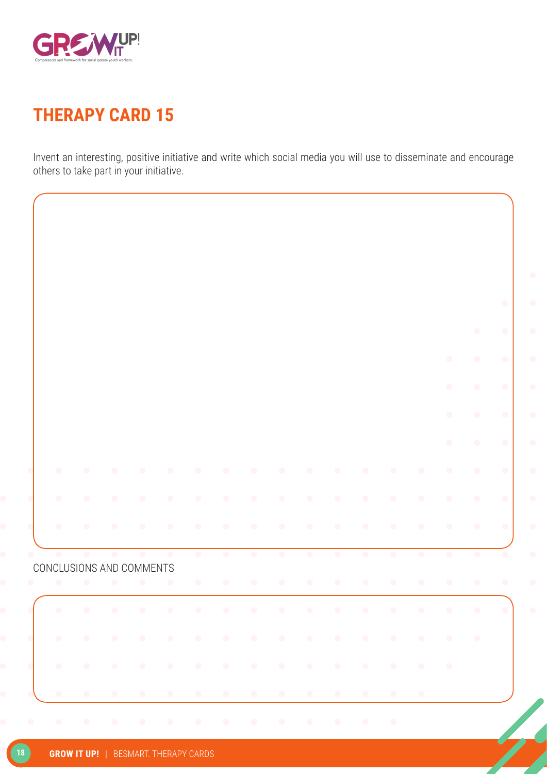

Invent an interesting, positive initiative and write which social media you will use to disseminate and encourage others to take part in your initiative.

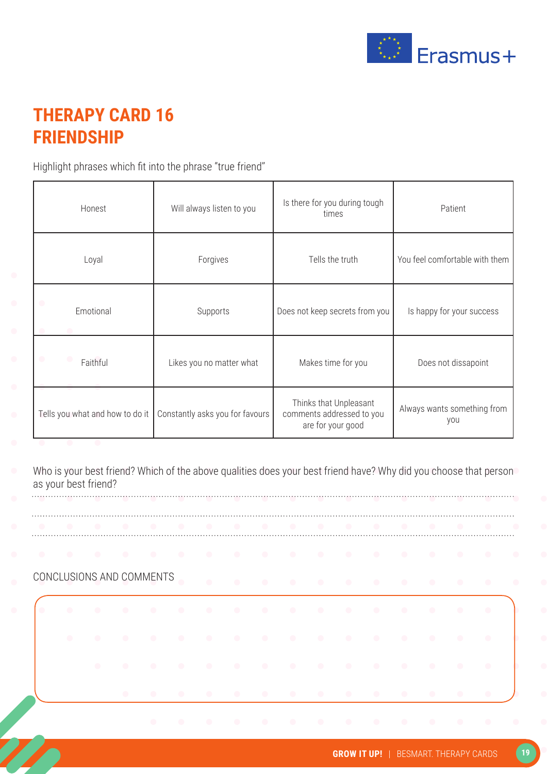

#### **THERAPY CARD 16 FRIENDSHIP**

Highlight phrases which fit into the phrase "true friend"

|  | Honest                          | Will always listen to you       | Is there for you during tough<br>times                                   | Patient                            |
|--|---------------------------------|---------------------------------|--------------------------------------------------------------------------|------------------------------------|
|  | Loyal                           | Forgives                        | Tells the truth                                                          | You feel comfortable with them     |
|  | Emotional                       | Supports                        | Does not keep secrets from you                                           | Is happy for your success          |
|  | Faithful                        | Likes you no matter what        | Makes time for you                                                       | Does not dissapoint                |
|  | Tells you what and how to do it | Constantly asks you for favours | Thinks that Unpleasant<br>comments addressed to you<br>are for your good | Always wants something from<br>you |

Who is your best friend? Which of the above qualities does your best friend have? Why did you choose that person as your best friend?

| .                        |  |  |           |  |   |  |  |  |           |
|--------------------------|--|--|-----------|--|---|--|--|--|-----------|
| .                        |  |  |           |  |   |  |  |  |           |
| CONCLUSIONS AND COMMENTS |  |  | $\bullet$ |  | . |  |  |  |           |
|                          |  |  |           |  | . |  |  |  |           |
| $\bullet$                |  |  |           |  | . |  |  |  |           |
|                          |  |  |           |  | . |  |  |  |           |
|                          |  |  |           |  | . |  |  |  | $\bullet$ |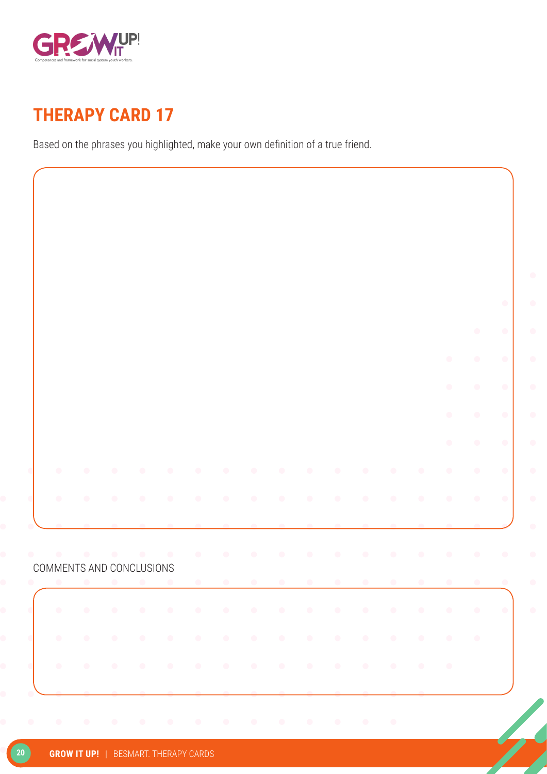

Based on the phrases you highlighted, make your own definition of a true friend.

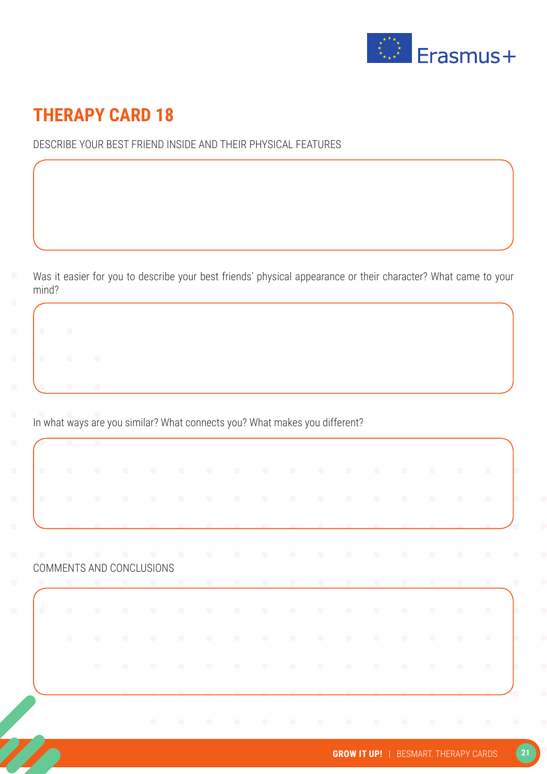

#### DESCRIBE YOUR BEST FRIEND INSIDE AND THEIR PHYSICAL FEATURES

Was it easier for you to describe your best friends' physical appearance or their character? What came to your mind?

In what ways are you similar? What connects you? What makes you different?

COMMENTS AND CONCLUSIONS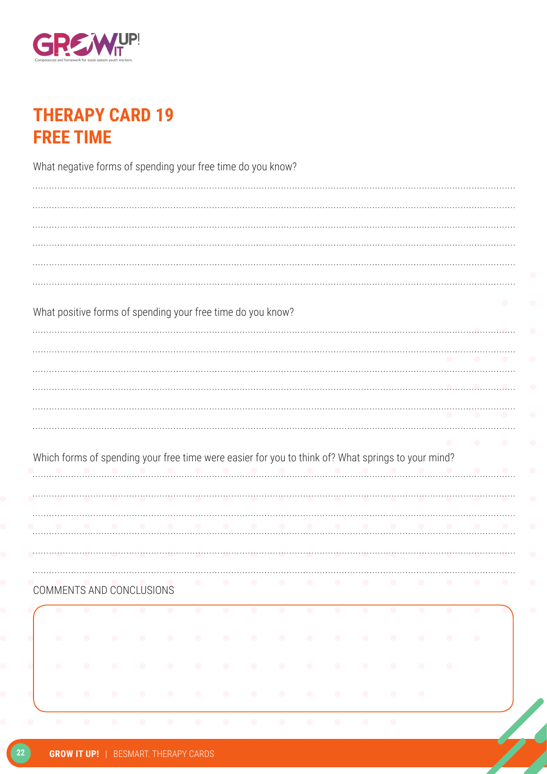

### **THERAPY CARD 19 FREE TIME**

|           |           |           | What negative forms of spending your free time do you know? |           |           |           |           |           |                                                                                                    |           |                          |                          |           |           |           |                          |
|-----------|-----------|-----------|-------------------------------------------------------------|-----------|-----------|-----------|-----------|-----------|----------------------------------------------------------------------------------------------------|-----------|--------------------------|--------------------------|-----------|-----------|-----------|--------------------------|
|           |           |           |                                                             |           |           |           |           |           |                                                                                                    |           |                          |                          |           |           |           |                          |
|           |           |           |                                                             |           |           |           |           |           |                                                                                                    |           |                          |                          |           |           |           |                          |
|           |           |           |                                                             |           |           |           |           |           |                                                                                                    |           |                          |                          |           |           |           |                          |
|           |           |           |                                                             |           |           |           |           |           |                                                                                                    |           |                          |                          |           |           |           |                          |
|           |           |           | What positive forms of spending your free time do you know? |           |           |           |           |           |                                                                                                    |           |                          |                          |           |           |           |                          |
|           |           |           |                                                             |           |           |           |           |           |                                                                                                    |           |                          |                          |           |           |           |                          |
|           |           |           |                                                             |           |           |           |           |           |                                                                                                    |           |                          |                          |           |           |           |                          |
|           |           |           |                                                             |           |           |           |           |           |                                                                                                    |           |                          |                          |           |           |           |                          |
|           |           |           |                                                             |           |           |           |           |           |                                                                                                    |           |                          |                          |           |           |           |                          |
|           |           |           |                                                             |           |           |           |           |           |                                                                                                    |           |                          |                          |           |           |           |                          |
|           |           |           |                                                             |           |           |           |           |           | Which forms of spending your free time were easier for you to think of? What springs to your mind? |           |                          |                          |           |           |           |                          |
|           |           |           |                                                             |           |           |           |           |           |                                                                                                    |           |                          |                          |           |           |           |                          |
|           |           |           |                                                             |           |           |           |           |           |                                                                                                    |           |                          |                          |           |           |           |                          |
|           |           |           |                                                             |           |           |           |           |           |                                                                                                    |           |                          |                          |           |           |           |                          |
|           |           |           | COMMENTS AND CONCLUSIONS                                    |           | $\bullet$ | $\bullet$ |           | $\bullet$ | $\bullet$                                                                                          | $\bullet$ | $\overline{\phantom{a}}$ | $\overline{\phantom{a}}$ | $\bullet$ | $\bullet$ |           | $\overline{\phantom{a}}$ |
| $\bullet$ | $\bullet$ | $\bullet$ | $\bullet$                                                   |           | $\bullet$ | $\bullet$ | $\bullet$ | $\bullet$ | $\bullet$                                                                                          | $\bullet$ | $\bullet$                | $\bullet$                | $\bullet$ | $\bullet$ | $\bullet$ | <b>G</b>                 |
| $\bullet$ | $\bullet$ | $\bullet$ | $\bullet$                                                   | $\bullet$ |           | $\bullet$ | $\bullet$ | $\bullet$ | $\bullet$                                                                                          | $\bullet$ | $\bullet$                |                          |           | $\bullet$ |           |                          |
|           | $\bullet$ | $\bullet$ | $\bullet$                                                   | $\bullet$ | $\bullet$ |           | $\bullet$ | $\bullet$ | $\bullet$                                                                                          | $\bullet$ | $\bullet$                | $\bullet$                | $\bullet$ | $\bullet$ |           |                          |
| $\bullet$ | $\bullet$ | $\bullet$ | $\bullet$                                                   |           |           | $\bullet$ | $\bullet$ |           |                                                                                                    |           |                          | $\bullet$                |           |           |           |                          |
|           |           |           |                                                             |           |           |           |           |           |                                                                                                    |           |                          |                          |           |           |           |                          |